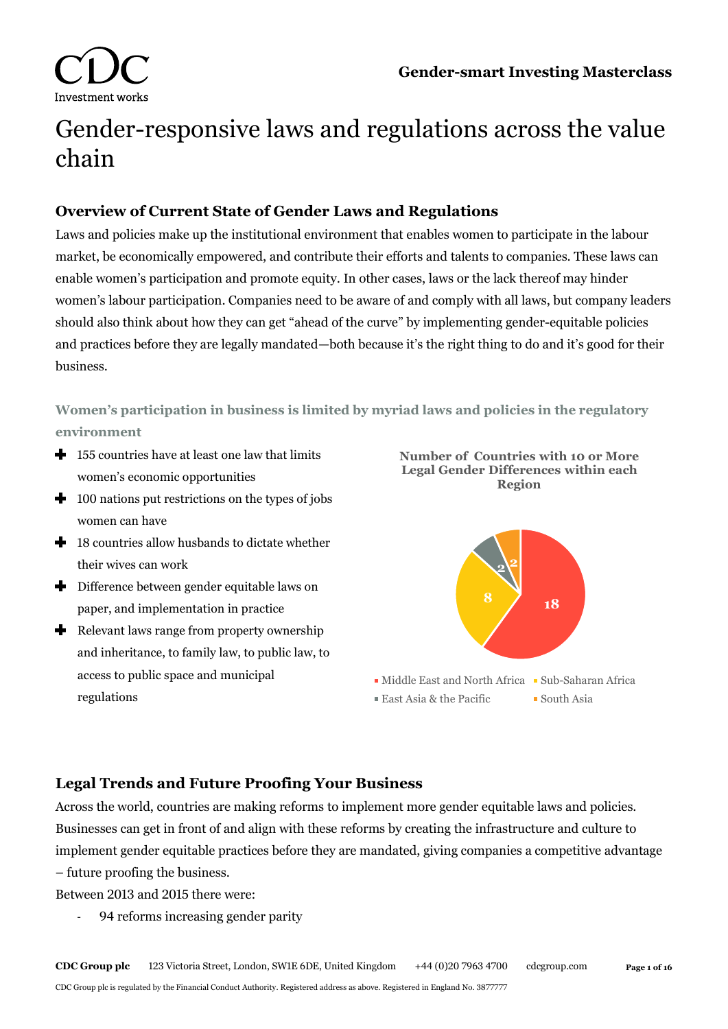

# Gender-responsive laws and regulations across the value chain

## **Overview of Current State of Gender Laws and Regulations**

Laws and policies make up the institutional environment that enables women to participate in the labour market, be economically empowered, and contribute their efforts and talents to companies. These laws can enable women's participation and promote equity. In other cases, laws or the lack thereof may hinder women's labour participation. Companies need to be aware of and comply with all laws, but company leaders should also think about how they can get "ahead of the curve" by implementing gender-equitable policies and practices before they are legally mandated—both because it's the right thing to do and it's good for their business.

**Women's participation in business is limited by myriad laws and policies in the regulatory environment**

- $\bigstar$  155 countries have at least one law that limits women's economic opportunities
- $\bigstar$  100 nations put restrictions on the types of jobs women can have
- $\bigoplus$  18 countries allow husbands to dictate whether their wives can work
- $\blacklozenge$  Difference between gender equitable laws on paper, and implementation in practice
- Relevant laws range from property ownership and inheritance, to family law, to public law, to access to public space and municipal regulations





 $\blacksquare$  East Asia & the Pacific  $\blacksquare$  South Asia

## **Legal Trends and Future Proofing Your Business**

Across the world, countries are making reforms to implement more gender equitable laws and policies. Businesses can get in front of and align with these reforms by creating the infrastructure and culture to implement gender equitable practices before they are mandated, giving companies a competitive advantage – future proofing the business.

Between 2013 and 2015 there were:

- 94 reforms increasing gender parity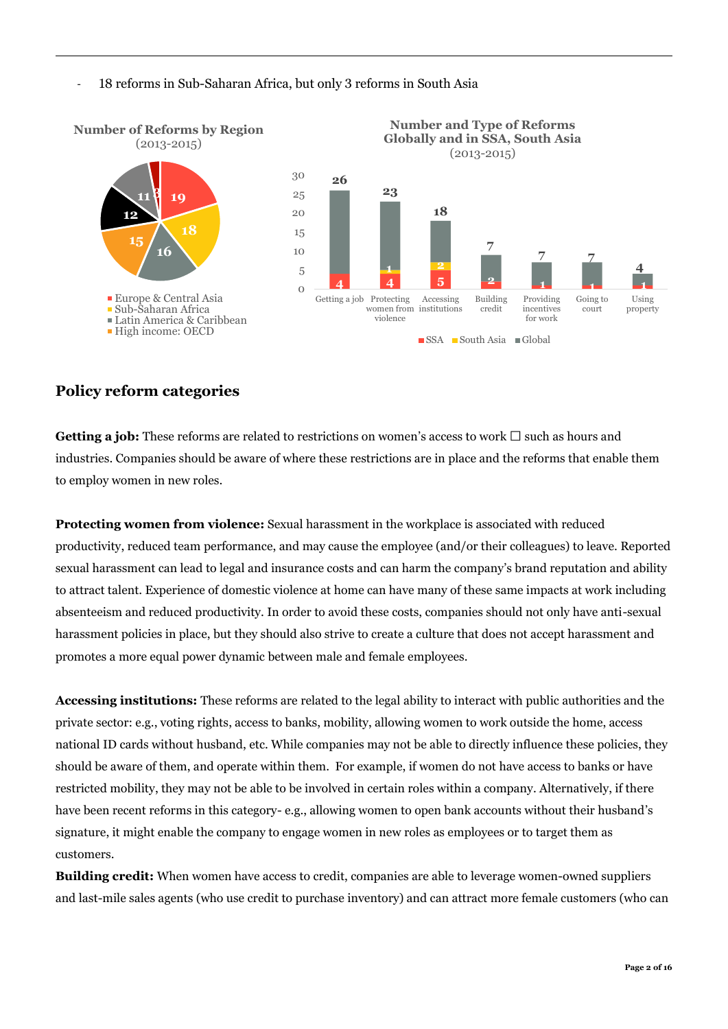#### - 18 reforms in Sub-Saharan Africa, but only 3 reforms in South Asia



## **Policy reform categories**

**Getting a job:** These reforms are related to restrictions on women's access to work  $\Box$  such as hours and industries. Companies should be aware of where these restrictions are in place and the reforms that enable them to employ women in new roles.

**Protecting women from violence:** Sexual harassment in the workplace is associated with reduced productivity, reduced team performance, and may cause the employee (and/or their colleagues) to leave. Reported sexual harassment can lead to legal and insurance costs and can harm the company's brand reputation and ability to attract talent. Experience of domestic violence at home can have many of these same impacts at work including absenteeism and reduced productivity. In order to avoid these costs, companies should not only have anti-sexual harassment policies in place, but they should also strive to create a culture that does not accept harassment and promotes a more equal power dynamic between male and female employees.

**Accessing institutions:** These reforms are related to the legal ability to interact with public authorities and the private sector: e.g., voting rights, access to banks, mobility, allowing women to work outside the home, access national ID cards without husband, etc. While companies may not be able to directly influence these policies, they should be aware of them, and operate within them. For example, if women do not have access to banks or have restricted mobility, they may not be able to be involved in certain roles within a company. Alternatively, if there have been recent reforms in this category- e.g., allowing women to open bank accounts without their husband's signature, it might enable the company to engage women in new roles as employees or to target them as customers.

**Building credit:** When women have access to credit, companies are able to leverage women-owned suppliers and last-mile sales agents (who use credit to purchase inventory) and can attract more female customers (who can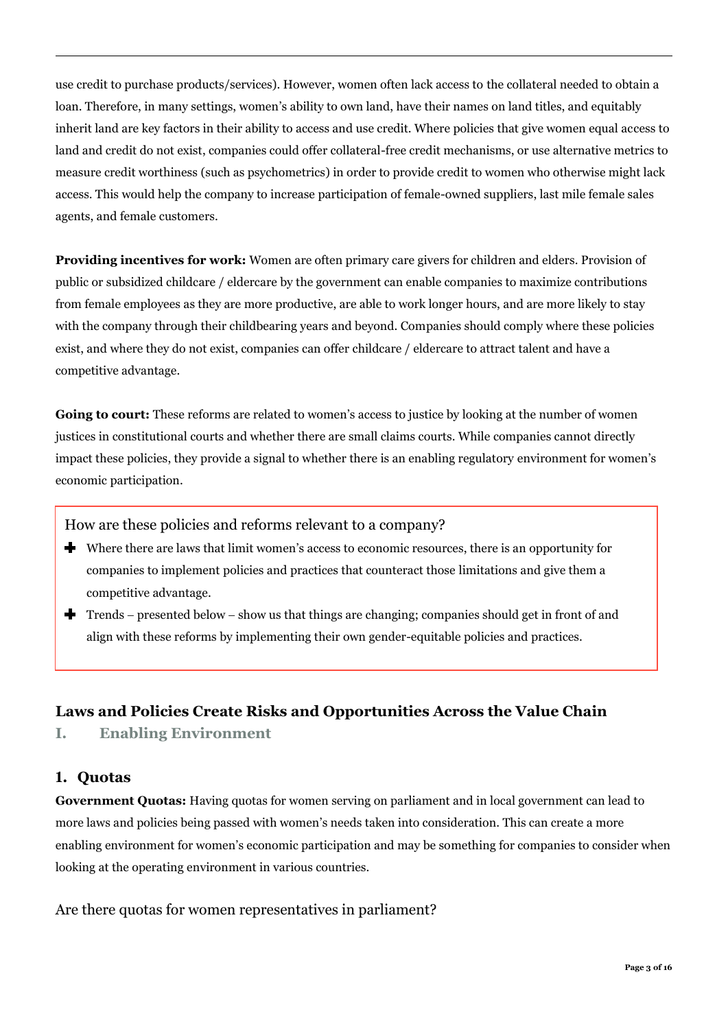use credit to purchase products/services). However, women often lack access to the collateral needed to obtain a loan. Therefore, in many settings, women's ability to own land, have their names on land titles, and equitably inherit land are key factors in their ability to access and use credit. Where policies that give women equal access to land and credit do not exist, companies could offer collateral-free credit mechanisms, or use alternative metrics to measure credit worthiness (such as psychometrics) in order to provide credit to women who otherwise might lack access. This would help the company to increase participation of female-owned suppliers, last mile female sales agents, and female customers.

**Providing incentives for work:** Women are often primary care givers for children and elders. Provision of public or subsidized childcare / eldercare by the government can enable companies to maximize contributions from female employees as they are more productive, are able to work longer hours, and are more likely to stay with the company through their childbearing years and beyond. Companies should comply where these policies exist, and where they do not exist, companies can offer childcare / eldercare to attract talent and have a competitive advantage.

**Going to court:** These reforms are related to women's access to justice by looking at the number of women justices in constitutional courts and whether there are small claims courts. While companies cannot directly impact these policies, they provide a signal to whether there is an enabling regulatory environment for women's economic participation.

How are these policies and reforms relevant to a company?

- Where there are laws that limit women's access to economic resources, there is an opportunity for companies to implement policies and practices that counteract those limitations and give them a competitive advantage.
- Trends − presented below − show us that things are changing; companies should get in front of and align with these reforms by implementing their own gender-equitable policies and practices.

#### **Laws and Policies Create Risks and Opportunities Across the Value Chain**

**I. Enabling Environment** 

#### **1. Quotas**

**Government Quotas:** Having quotas for women serving on parliament and in local government can lead to more laws and policies being passed with women's needs taken into consideration. This can create a more enabling environment for women's economic participation and may be something for companies to consider when looking at the operating environment in various countries.

#### Are there quotas for women representatives in parliament?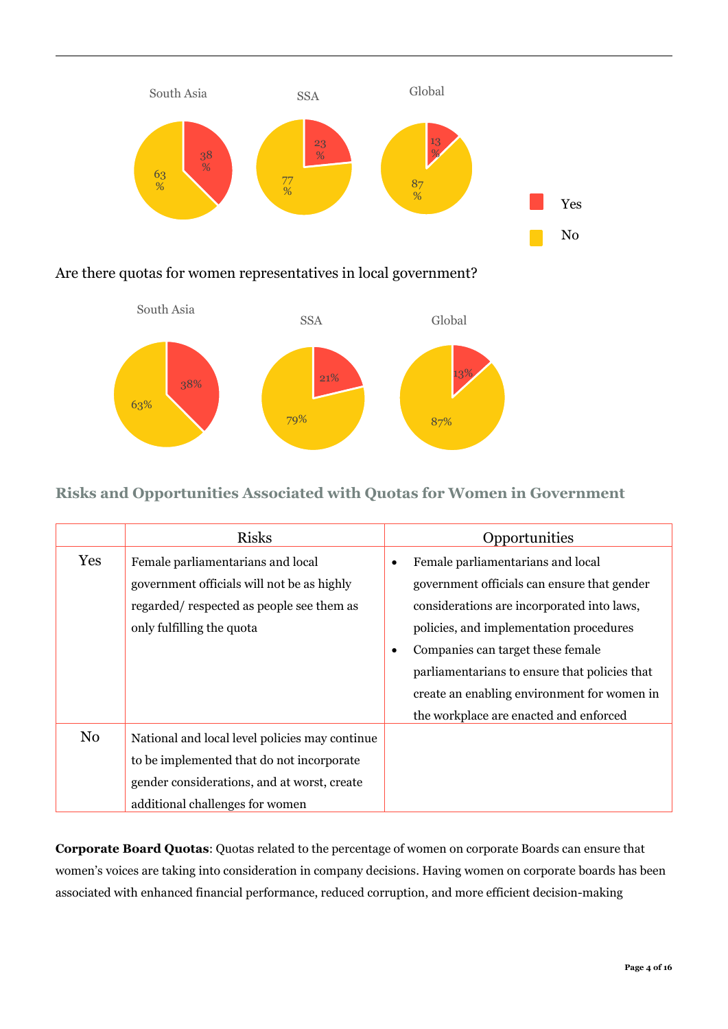

## Are there quotas for women representatives in local government?



## **Risks and Opportunities Associated with Quotas for Women in Government**

|                | <b>Risks</b>                                                                                                                                                                  | Opportunities                                                                                                                                                                                                                                                                                                                                                 |
|----------------|-------------------------------------------------------------------------------------------------------------------------------------------------------------------------------|---------------------------------------------------------------------------------------------------------------------------------------------------------------------------------------------------------------------------------------------------------------------------------------------------------------------------------------------------------------|
| Yes            | Female parliamentarians and local<br>government officials will not be as highly<br>regarded/respected as people see them as<br>only fulfilling the quota                      | Female parliamentarians and local<br>٠<br>government officials can ensure that gender<br>considerations are incorporated into laws,<br>policies, and implementation procedures<br>Companies can target these female<br>parliamentarians to ensure that policies that<br>create an enabling environment for women in<br>the workplace are enacted and enforced |
| N <sub>0</sub> | National and local level policies may continue<br>to be implemented that do not incorporate<br>gender considerations, and at worst, create<br>additional challenges for women |                                                                                                                                                                                                                                                                                                                                                               |

**Corporate Board Quotas**: Quotas related to the percentage of women on corporate Boards can ensure that women's voices are taking into consideration in company decisions. Having women on corporate boards has been associated with enhanced financial performance, reduced corruption, and more efficient decision-making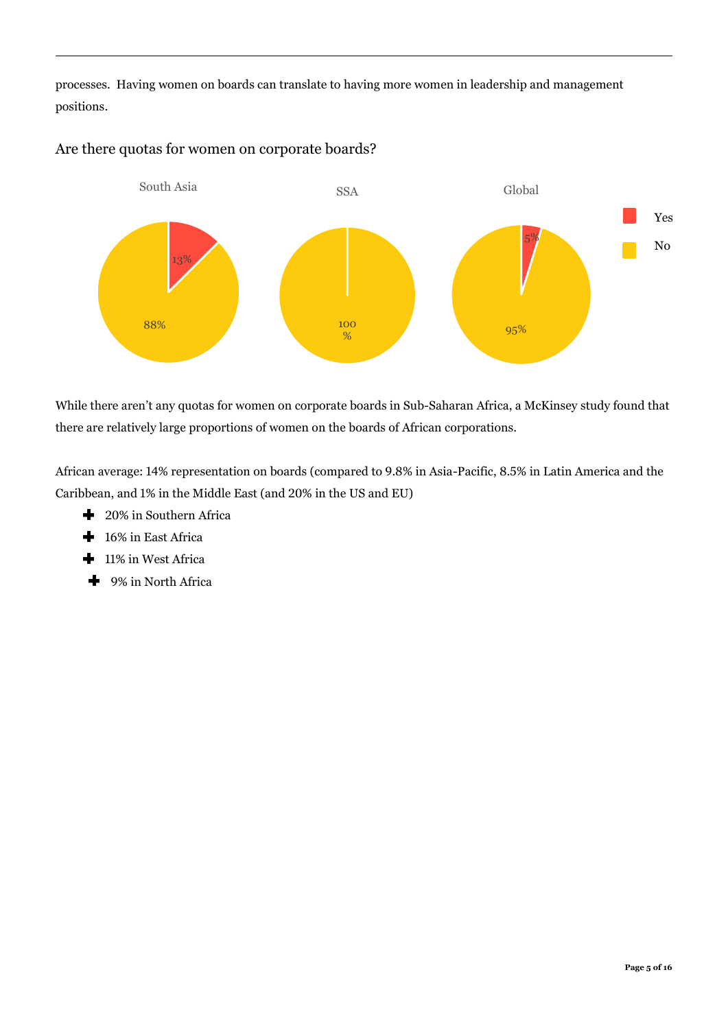processes. Having women on boards can translate to having more women in leadership and management positions.



#### Are there quotas for women on corporate boards?

While there aren't any quotas for women on corporate boards in Sub-Saharan Africa, a McKinsey study found that there are relatively large proportions of women on the boards of African corporations.

African average: 14% representation on boards (compared to 9.8% in Asia-Pacific, 8.5% in Latin America and the Caribbean, and 1% in the Middle East (and 20% in the US and EU)

- <sup>1</sup> 20% in Southern Africa
- <sup>1</sup> 16% in East Africa
- 11% in West Africa ╇
- <sup>1</sup> 9% in North Africa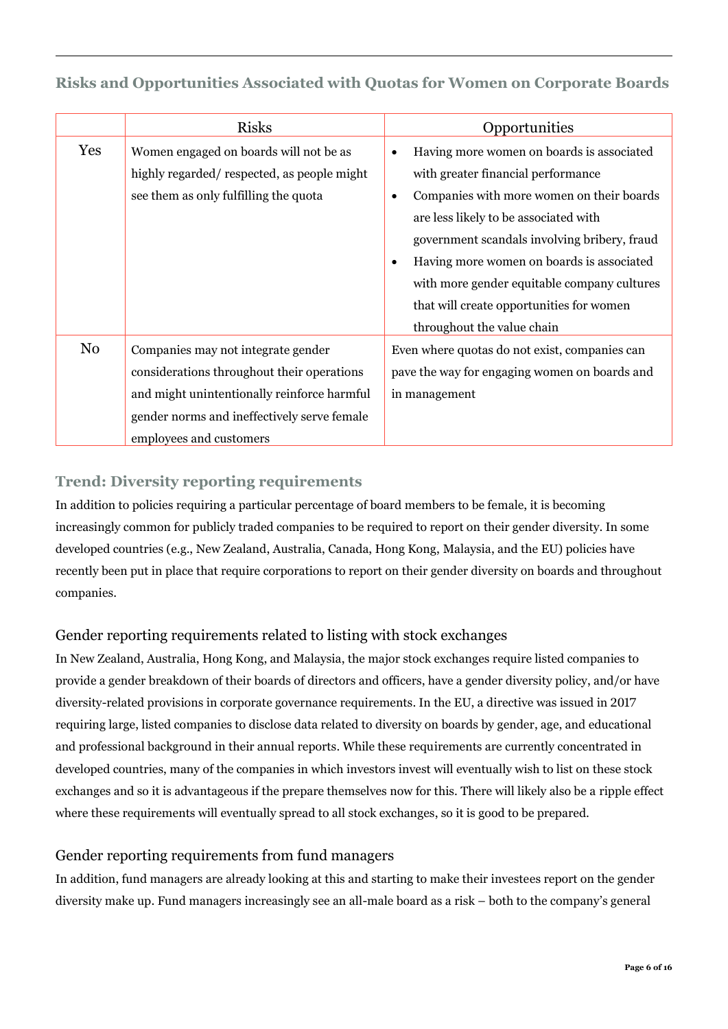## **Risks and Opportunities Associated with Quotas for Women on Corporate Boards**

|                | <b>Risks</b>                                | Opportunities                                          |
|----------------|---------------------------------------------|--------------------------------------------------------|
| Yes            | Women engaged on boards will not be as      | Having more women on boards is associated<br>٠         |
|                | highly regarded/respected, as people might  | with greater financial performance                     |
|                | see them as only fulfilling the quota       | Companies with more women on their boards<br>$\bullet$ |
|                |                                             | are less likely to be associated with                  |
|                |                                             | government scandals involving bribery, fraud           |
|                |                                             | Having more women on boards is associated<br>$\bullet$ |
|                |                                             | with more gender equitable company cultures            |
|                |                                             | that will create opportunities for women               |
|                |                                             | throughout the value chain                             |
| N <sub>0</sub> | Companies may not integrate gender          | Even where quotas do not exist, companies can          |
|                | considerations throughout their operations  | pave the way for engaging women on boards and          |
|                | and might unintentionally reinforce harmful | in management                                          |
|                | gender norms and ineffectively serve female |                                                        |
|                | employees and customers                     |                                                        |

## **Trend: Diversity reporting requirements**

In addition to policies requiring a particular percentage of board members to be female, it is becoming increasingly common for publicly traded companies to be required to report on their gender diversity. In some developed countries (e.g., New Zealand, Australia, Canada, Hong Kong, Malaysia, and the EU) policies have recently been put in place that require corporations to report on their gender diversity on boards and throughout companies.

## Gender reporting requirements related to listing with stock exchanges

In New Zealand, Australia, Hong Kong, and Malaysia, the major stock exchanges require listed companies to provide a gender breakdown of their boards of directors and officers, have a gender diversity policy, and/or have diversity-related provisions in corporate governance requirements. In the EU, a directive was issued in 2017 requiring large, listed companies to disclose data related to diversity on boards by gender, age, and educational and professional background in their annual reports. While these requirements are currently concentrated in developed countries, many of the companies in which investors invest will eventually wish to list on these stock exchanges and so it is advantageous if the prepare themselves now for this. There will likely also be a ripple effect where these requirements will eventually spread to all stock exchanges, so it is good to be prepared.

#### Gender reporting requirements from fund managers

In addition, fund managers are already looking at this and starting to make their investees report on the gender diversity make up. Fund managers increasingly see an all-male board as a risk – both to the company's general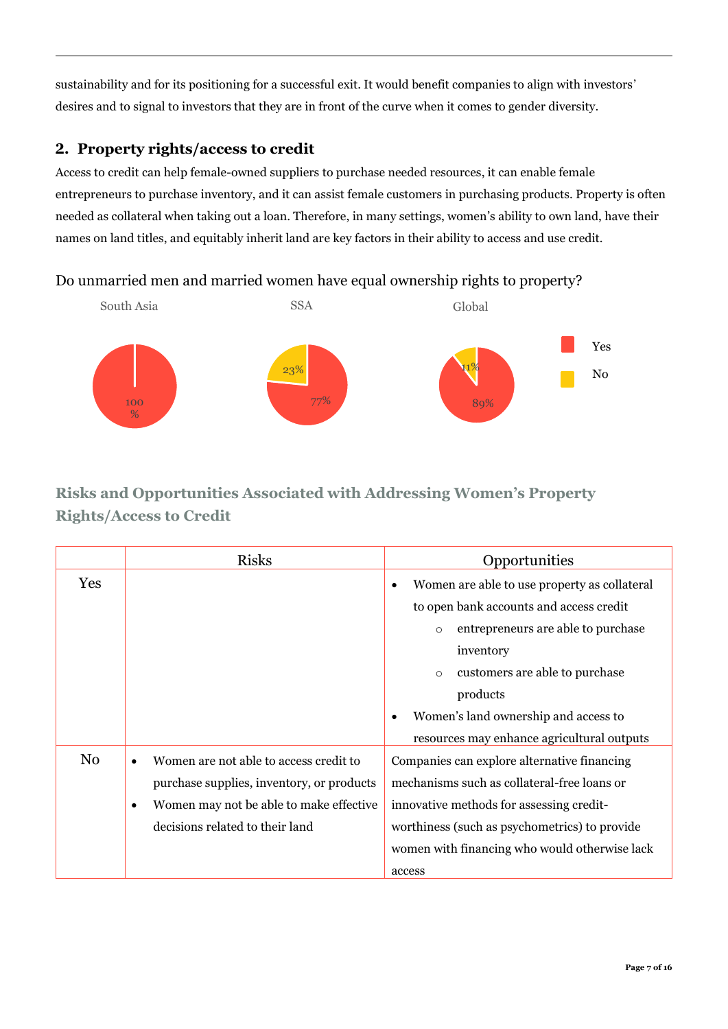sustainability and for its positioning for a successful exit. It would benefit companies to align with investors' desires and to signal to investors that they are in front of the curve when it comes to gender diversity.

## **2. Property rights/access to credit**

Access to credit can help female-owned suppliers to purchase needed resources, it can enable female entrepreneurs to purchase inventory, and it can assist female customers in purchasing products. Property is often needed as collateral when taking out a loan. Therefore, in many settings, women's ability to own land, have their names on land titles, and equitably inherit land are key factors in their ability to access and use credit.

## Do unmarried men and married women have equal ownership rights to property?



# **Risks and Opportunities Associated with Addressing Women's Property Rights/Access to Credit**

|                | <b>Risks</b>                                         | Opportunities                                 |
|----------------|------------------------------------------------------|-----------------------------------------------|
| Yes            |                                                      | Women are able to use property as collateral  |
|                |                                                      | to open bank accounts and access credit       |
|                |                                                      | entrepreneurs are able to purchase<br>$\circ$ |
|                |                                                      | inventory                                     |
|                |                                                      | customers are able to purchase<br>$\circ$     |
|                |                                                      | products                                      |
|                |                                                      | Women's land ownership and access to          |
|                |                                                      | resources may enhance agricultural outputs    |
| N <sub>0</sub> | Women are not able to access credit to<br>$\bullet$  | Companies can explore alternative financing   |
|                | purchase supplies, inventory, or products            | mechanisms such as collateral-free loans or   |
|                | Women may not be able to make effective<br>$\bullet$ | innovative methods for assessing credit-      |
|                | decisions related to their land                      | worthiness (such as psychometrics) to provide |
|                |                                                      | women with financing who would otherwise lack |
|                |                                                      | access                                        |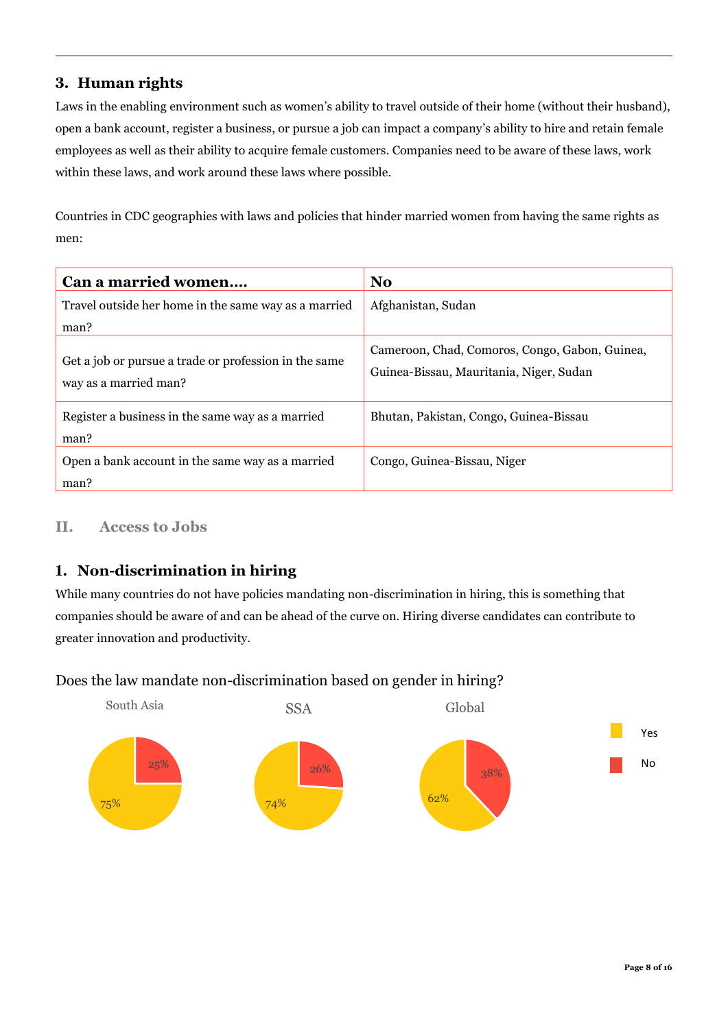#### **3. Human rights**

Laws in the enabling environment such as women's ability to travel outside of their home (without their husband), open a bank account, register a business, or pursue a job can impact a company's ability to hire and retain female employees as well as their ability to acquire female customers. Companies need to be aware of these laws, work within these laws, and work around these laws where possible.

Countries in CDC geographies with laws and policies that hinder married women from having the same rights as men:

| Can a married women                                                            | N <sub>0</sub>                                                                            |
|--------------------------------------------------------------------------------|-------------------------------------------------------------------------------------------|
| Travel outside her home in the same way as a married<br>man?                   | Afghanistan, Sudan                                                                        |
| Get a job or pursue a trade or profession in the same<br>way as a married man? | Cameroon, Chad, Comoros, Congo, Gabon, Guinea,<br>Guinea-Bissau, Mauritania, Niger, Sudan |
| Register a business in the same way as a married<br>man?                       | Bhutan, Pakistan, Congo, Guinea-Bissau                                                    |
| Open a bank account in the same way as a married<br>man?                       | Congo, Guinea-Bissau, Niger                                                               |

#### **II. Access to Jobs**

## **1. Non-discrimination in hiring**

While many countries do not have policies mandating non-discrimination in hiring, this is something that companies should be aware of and can be ahead of the curve on. Hiring diverse candidates can contribute to greater innovation and productivity.

#### Does the law mandate non-discrimination based on gender in hiring?

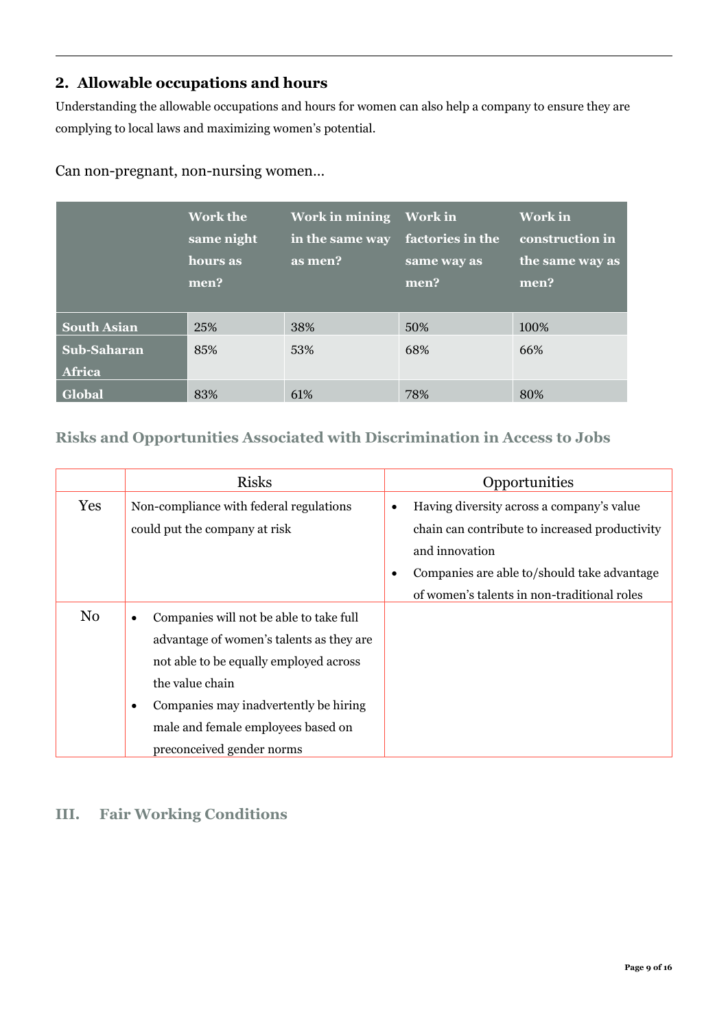## **2. Allowable occupations and hours**

Understanding the allowable occupations and hours for women can also help a company to ensure they are complying to local laws and maximizing women's potential.

|                       | <b>Work the</b><br>same night<br>hours as<br>men? | <b>Work in mining</b><br>in the same way<br>as men? | <b>Work in</b><br>factories in the<br>same way as<br>men? | Work in<br>construction in<br>the same way as<br>men? |
|-----------------------|---------------------------------------------------|-----------------------------------------------------|-----------------------------------------------------------|-------------------------------------------------------|
| <b>South Asian</b>    | 25%                                               | 38%                                                 | 50%                                                       | 100%                                                  |
| Sub-Saharan<br>Africa | 85%                                               | 53%                                                 | 68%                                                       | 66%                                                   |
| Global                | 83%                                               | 61\%                                                | 78%                                                       | 80%                                                   |

Can non-pregnant, non-nursing women…

## **Risks and Opportunities Associated with Discrimination in Access to Jobs**

|                | <b>Risks</b>                                                                                                                                                                                                                                                                   | Opportunities                                                                                                                                                                                                    |
|----------------|--------------------------------------------------------------------------------------------------------------------------------------------------------------------------------------------------------------------------------------------------------------------------------|------------------------------------------------------------------------------------------------------------------------------------------------------------------------------------------------------------------|
| Yes            | Non-compliance with federal regulations<br>could put the company at risk                                                                                                                                                                                                       | Having diversity across a company's value<br>٠<br>chain can contribute to increased productivity<br>and innovation<br>Companies are able to/should take advantage<br>of women's talents in non-traditional roles |
| N <sub>0</sub> | Companies will not be able to take full<br>$\bullet$<br>advantage of women's talents as they are<br>not able to be equally employed across<br>the value chain<br>Companies may inadvertently be hiring<br>٠<br>male and female employees based on<br>preconceived gender norms |                                                                                                                                                                                                                  |

# **III. Fair Working Conditions**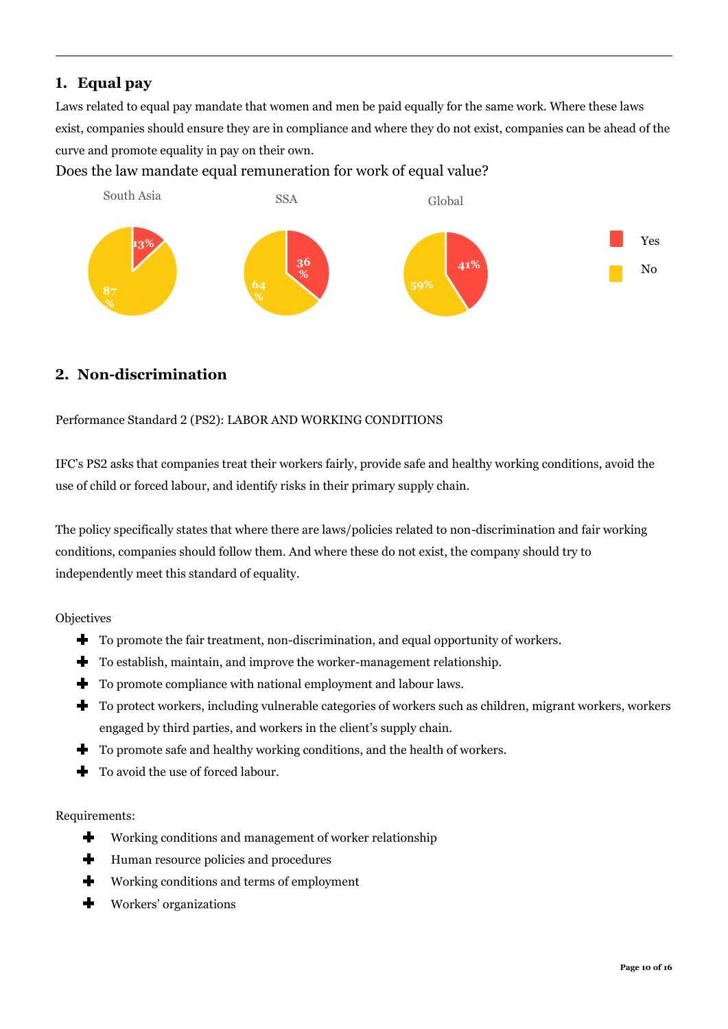## **1. Equal pay**

Laws related to equal pay mandate that women and men be paid equally for the same work. Where these laws exist, companies should ensure they are in compliance and where they do not exist, companies can be ahead of the curve and promote equality in pay on their own.

#### Does the law mandate equal remuneration for work of equal value?



## **2. Non-discrimination**

#### Performance Standard 2 (PS2): LABOR AND WORKING CONDITIONS

IFC's PS2 asks that companies treat their workers fairly, provide safe and healthy working conditions, avoid the use of child or forced labour, and identify risks in their primary supply chain.

The policy specifically states that where there are laws/policies related to non-discrimination and fair working conditions, companies should follow them. And where these do not exist, the company should try to independently meet this standard of equality.

**Objectives** 

- $\blacktriangleright$  To promote the fair treatment, non-discrimination, and equal opportunity of workers.
- To establish, maintain, and improve the worker-management relationship.
- To promote compliance with national employment and labour laws.
- To protect workers, including vulnerable categories of workers such as children, migrant workers, workers engaged by third parties, and workers in the client's supply chain.
- To promote safe and healthy working conditions, and the health of workers.
- To avoid the use of forced labour. ╋

#### Requirements:

- Working conditions and management of worker relationship ٠
- ╇ Human resource policies and procedures
- ÷ Working conditions and terms of employment
- $\ddot{\phantom{1}}$ Workers' organizations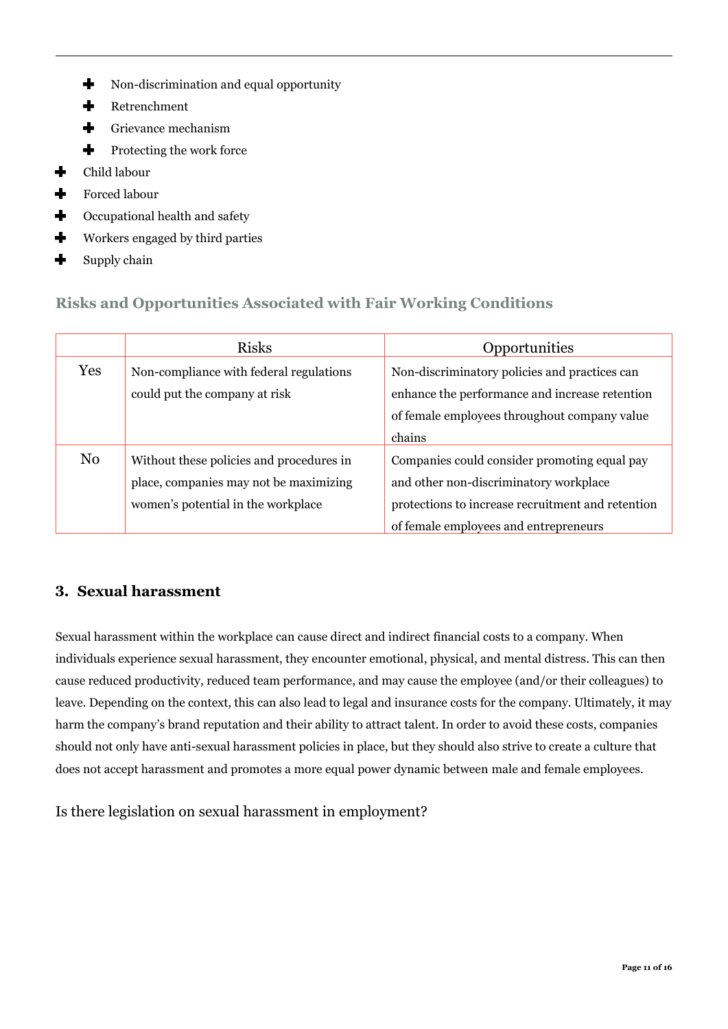- ╈ Non-discrimination and equal opportunity
- $\ddot{\phantom{a}}$ Retrenchment
- $\div$ Grievance mechanism
- ╇ Protecting the work force
- $\div$ Child labour
- $\ddot{\bullet}$ Forced labour
- $\ddot{\phantom{1}}$ Occupational health and safety
- $\ddot{\phantom{1}}$ Workers engaged by third parties
- ╋ Supply chain

## **Risks and Opportunities Associated with Fair Working Conditions**

|                | <b>Risks</b>                             | Opportunities                                     |
|----------------|------------------------------------------|---------------------------------------------------|
| Yes            | Non-compliance with federal regulations  | Non-discriminatory policies and practices can     |
|                | could put the company at risk            | enhance the performance and increase retention    |
|                |                                          | of female employees throughout company value      |
|                |                                          | chains                                            |
| N <sub>0</sub> | Without these policies and procedures in | Companies could consider promoting equal pay      |
|                | place, companies may not be maximizing   | and other non-discriminatory workplace            |
|                | women's potential in the workplace       | protections to increase recruitment and retention |
|                |                                          | of female employees and entrepreneurs             |

## **3. Sexual harassment**

Sexual harassment within the workplace can cause direct and indirect financial costs to a company. When individuals experience sexual harassment, they encounter emotional, physical, and mental distress. This can then cause reduced productivity, reduced team performance, and may cause the employee (and/or their colleagues) to leave. Depending on the context, this can also lead to legal and insurance costs for the company. Ultimately, it may harm the company's brand reputation and their ability to attract talent. In order to avoid these costs, companies should not only have anti-sexual harassment policies in place, but they should also strive to create a culture that does not accept harassment and promotes a more equal power dynamic between male and female employees.

Is there legislation on sexual harassment in employment?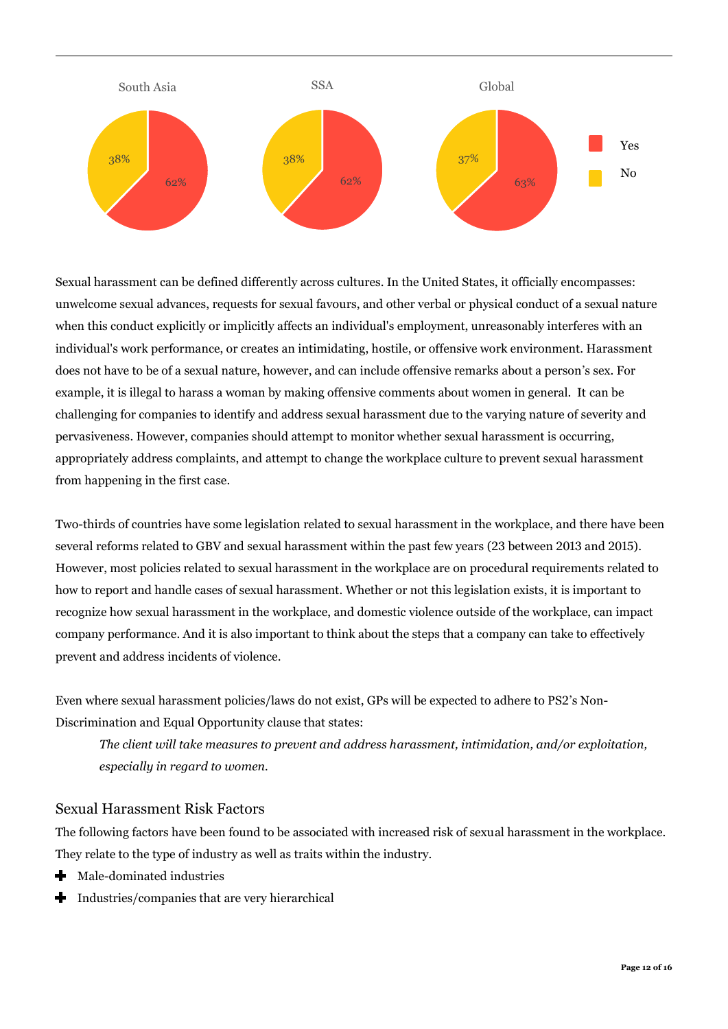

Sexual harassment can be defined differently across cultures. In the United States, it officially encompasses: unwelcome sexual advances, requests for sexual favours, and other verbal or physical conduct of a sexual nature when this conduct explicitly or implicitly affects an individual's employment, unreasonably interferes with an individual's work performance, or creates an intimidating, hostile, or offensive work environment. Harassment does not have to be of a sexual nature, however, and can include offensive remarks about a person's sex. For example, it is illegal to harass a woman by making offensive comments about women in general. It can be challenging for companies to identify and address sexual harassment due to the varying nature of severity and pervasiveness. However, companies should attempt to monitor whether sexual harassment is occurring, appropriately address complaints, and attempt to change the workplace culture to prevent sexual harassment from happening in the first case.

Two-thirds of countries have some legislation related to sexual harassment in the workplace, and there have been several reforms related to GBV and sexual harassment within the past few years (23 between 2013 and 2015). However, most policies related to sexual harassment in the workplace are on procedural requirements related to how to report and handle cases of sexual harassment. Whether or not this legislation exists, it is important to recognize how sexual harassment in the workplace, and domestic violence outside of the workplace, can impact company performance. And it is also important to think about the steps that a company can take to effectively prevent and address incidents of violence.

Even where sexual harassment policies/laws do not exist, GPs will be expected to adhere to PS2's Non-Discrimination and Equal Opportunity clause that states:

*The client will take measures to prevent and address harassment, intimidation, and/or exploitation, especially in regard to women.* 

#### Sexual Harassment Risk Factors

The following factors have been found to be associated with increased risk of sexual harassment in the workplace. They relate to the type of industry as well as traits within the industry.

- $\text{M}$  Male-dominated industries
- Industries/companies that are very hierarchical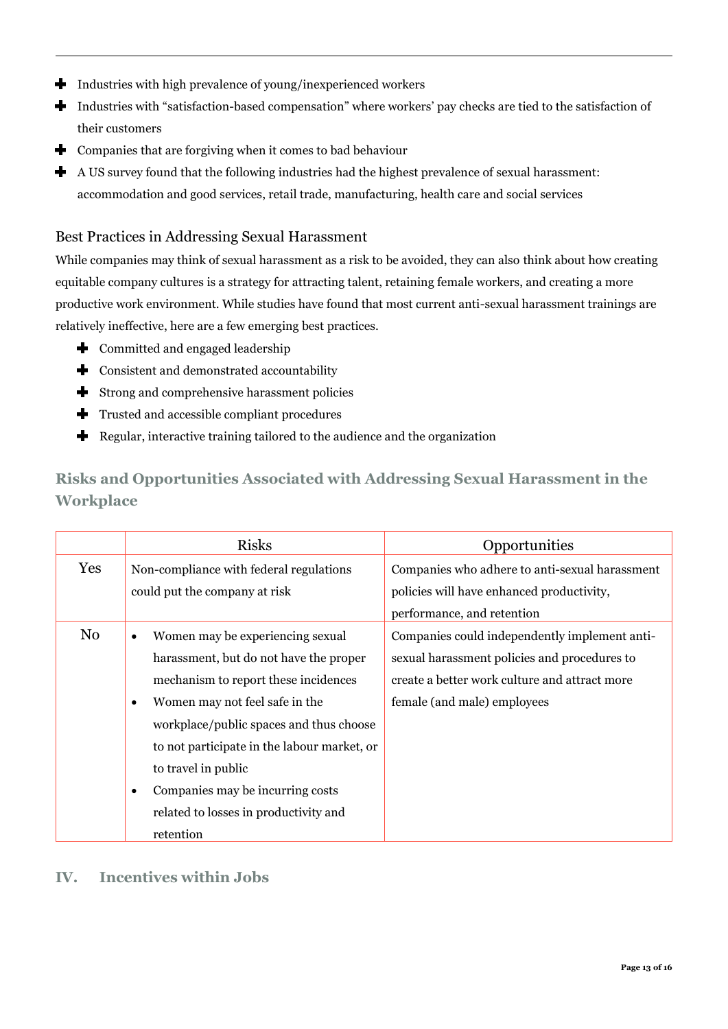- Industries with high prevalence of young/inexperienced workers ٠
- $\div$ Industries with "satisfaction-based compensation" where workers' pay checks are tied to the satisfaction of their customers
- ٠ Companies that are forgiving when it comes to bad behaviour
- $\div$ A US survey found that the following industries had the highest prevalence of sexual harassment: accommodation and good services, retail trade, manufacturing, health care and social services

#### Best Practices in Addressing Sexual Harassment

While companies may think of sexual harassment as a risk to be avoided, they can also think about how creating equitable company cultures is a strategy for attracting talent, retaining female workers, and creating a more productive work environment. While studies have found that most current anti-sexual harassment trainings are relatively ineffective, here are a few emerging best practices.

- $\bigstar$  Committed and engaged leadership
- $\blacklozenge$  Consistent and demonstrated accountability
- Strong and comprehensive harassment policies
- Trusted and accessible compliant procedures
- ÷ Regular, interactive training tailored to the audience and the organization

# **Risks and Opportunities Associated with Addressing Sexual Harassment in the Workplace**

|     | <b>Risks</b>                                                                                                                                                                                                                                                                                                                                                    | Opportunities                                                                                                                                                                 |
|-----|-----------------------------------------------------------------------------------------------------------------------------------------------------------------------------------------------------------------------------------------------------------------------------------------------------------------------------------------------------------------|-------------------------------------------------------------------------------------------------------------------------------------------------------------------------------|
| Yes | Non-compliance with federal regulations<br>could put the company at risk                                                                                                                                                                                                                                                                                        | Companies who adhere to anti-sexual harassment<br>policies will have enhanced productivity,<br>performance, and retention                                                     |
| No  | Women may be experiencing sexual<br>harassment, but do not have the proper<br>mechanism to report these incidences<br>Women may not feel safe in the<br>workplace/public spaces and thus choose<br>to not participate in the labour market, or<br>to travel in public<br>Companies may be incurring costs<br>related to losses in productivity and<br>retention | Companies could independently implement anti-<br>sexual harassment policies and procedures to<br>create a better work culture and attract more<br>female (and male) employees |

## **IV. Incentives within Jobs**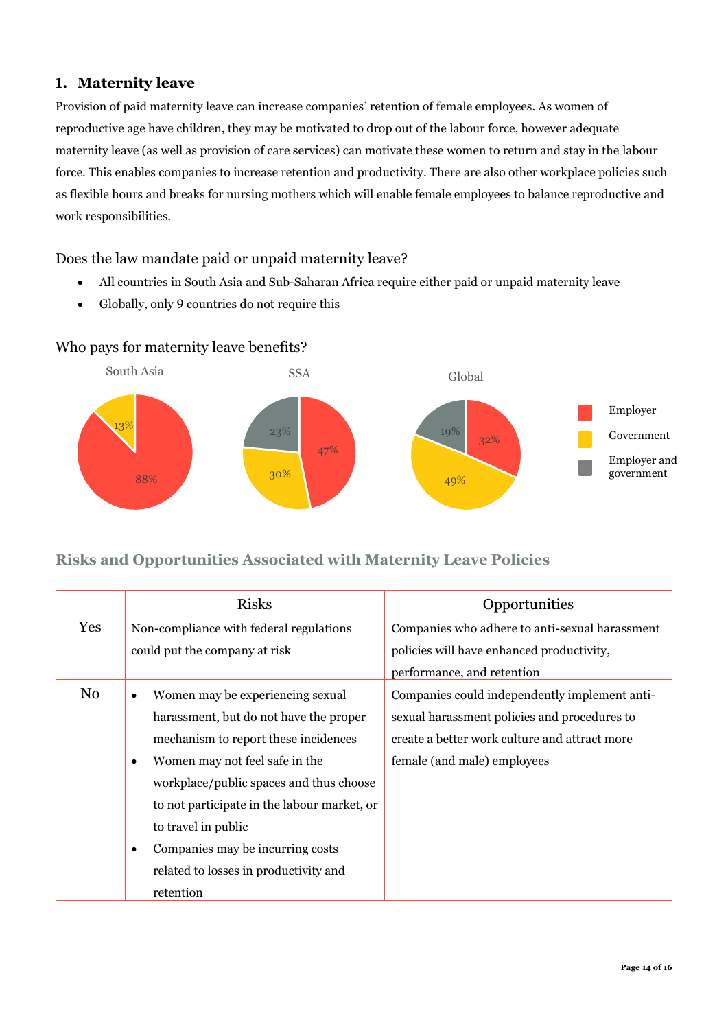#### **1. Maternity leave**

Provision of paid maternity leave can increase companies' retention of female employees. As women of reproductive age have children, they may be motivated to drop out of the labour force, however adequate maternity leave (as well as provision of care services) can motivate these women to return and stay in the labour force. This enables companies to increase retention and productivity. There are also other workplace policies such as flexible hours and breaks for nursing mothers which will enable female employees to balance reproductive and work responsibilities.

#### Does the law mandate paid or unpaid maternity leave?

- All countries in South Asia and Sub-Saharan Africa require either paid or unpaid maternity leave
- Globally, only 9 countries do not require this

#### Who pays for maternity leave benefits?



#### **Risks and Opportunities Associated with Maternity Leave Policies**

|     | <b>Risks</b>                                                                                                                                                                                                                                                                                                                                                                              | Opportunities                                                                                                                                                                 |
|-----|-------------------------------------------------------------------------------------------------------------------------------------------------------------------------------------------------------------------------------------------------------------------------------------------------------------------------------------------------------------------------------------------|-------------------------------------------------------------------------------------------------------------------------------------------------------------------------------|
| Yes | Non-compliance with federal regulations<br>could put the company at risk                                                                                                                                                                                                                                                                                                                  | Companies who adhere to anti-sexual harassment<br>policies will have enhanced productivity,                                                                                   |
|     |                                                                                                                                                                                                                                                                                                                                                                                           | performance, and retention                                                                                                                                                    |
| No  | Women may be experiencing sexual<br>$\bullet$<br>harassment, but do not have the proper<br>mechanism to report these incidences<br>Women may not feel safe in the<br>$\bullet$<br>workplace/public spaces and thus choose<br>to not participate in the labour market, or<br>to travel in public<br>Companies may be incurring costs<br>$\bullet$<br>related to losses in productivity and | Companies could independently implement anti-<br>sexual harassment policies and procedures to<br>create a better work culture and attract more<br>female (and male) employees |
|     | retention                                                                                                                                                                                                                                                                                                                                                                                 |                                                                                                                                                                               |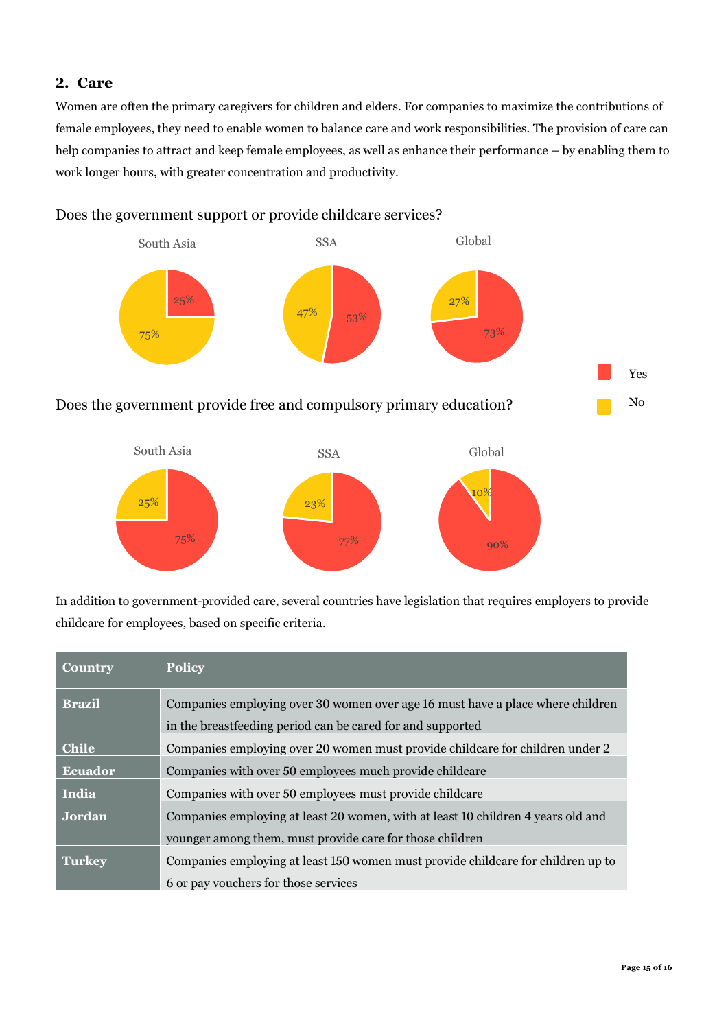#### **2. Care**

Women are often the primary caregivers for children and elders. For companies to maximize the contributions of female employees, they need to enable women to balance care and work responsibilities. The provision of care can help companies to attract and keep female employees, as well as enhance their performance – by enabling them to work longer hours, with greater concentration and productivity.

#### Does the government support or provide childcare services?



In addition to government-provided care, several countries have legislation that requires employers to provide childcare for employees, based on specific criteria.

| <b>Country</b> | <b>Policy</b>                                                                    |
|----------------|----------------------------------------------------------------------------------|
| <b>Brazil</b>  | Companies employing over 30 women over age 16 must have a place where children   |
|                | in the breastfeeding period can be cared for and supported                       |
| <b>Chile</b>   | Companies employing over 20 women must provide childcare for children under 2    |
| <b>Ecuador</b> | Companies with over 50 employees much provide childcare                          |
| India          | Companies with over 50 employees must provide childcare                          |
| Jordan         | Companies employing at least 20 women, with at least 10 children 4 years old and |
|                | younger among them, must provide care for those children                         |
| <b>Turkey</b>  | Companies employing at least 150 women must provide childcare for children up to |
|                | 6 or pay vouchers for those services                                             |